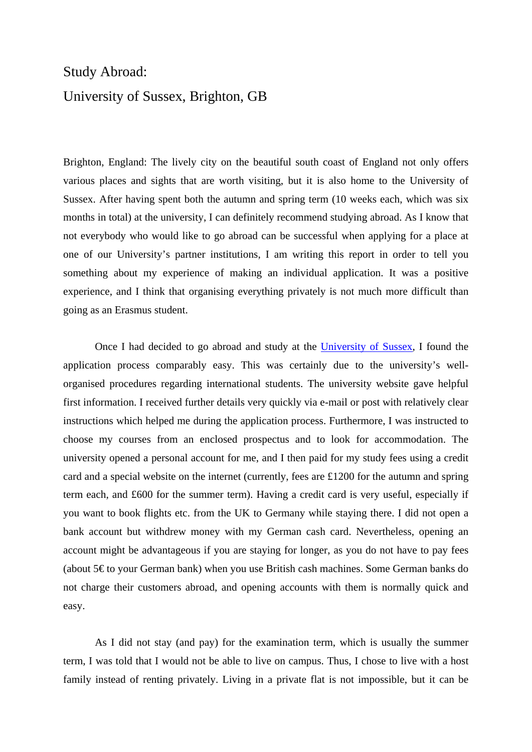## Study Abroad: University of Sussex, Brighton, GB

Brighton, England: The lively city on the beautiful south coast of England not only offers various places and sights that are worth visiting, but it is also home to the University of Sussex. After having spent both the autumn and spring term (10 weeks each, which was six months in total) at the university, I can definitely recommend studying abroad. As I know that not everybody who would like to go abroad can be successful when applying for a place at one of our University's partner institutions, I am writing this report in order to tell you something about my experience of making an individual application. It was a positive experience, and I think that organising everything privately is not much more difficult than going as an Erasmus student.

Once I had decided to go abroad and study at the [University of Sussex,](http://www.sussex.ac.uk/) I found the application process comparably easy. This was certainly due to the university's wellorganised procedures regarding international students. The university website gave helpful first information. I received further details very quickly via e-mail or post with relatively clear instructions which helped me during the application process. Furthermore, I was instructed to choose my courses from an enclosed prospectus and to look for accommodation. The university opened a personal account for me, and I then paid for my study fees using a credit card and a special website on the internet (currently, fees are £1200 for the autumn and spring term each, and £600 for the summer term). Having a credit card is very useful, especially if you want to book flights etc. from the UK to Germany while staying there. I did not open a bank account but withdrew money with my German cash card. Nevertheless, opening an account might be advantageous if you are staying for longer, as you do not have to pay fees (about 5€ to your German bank) when you use British cash machines. Some German banks do not charge their customers abroad, and opening accounts with them is normally quick and easy.

As I did not stay (and pay) for the examination term, which is usually the summer term, I was told that I would not be able to live on campus. Thus, I chose to live with a host family instead of renting privately. Living in a private flat is not impossible, but it can be